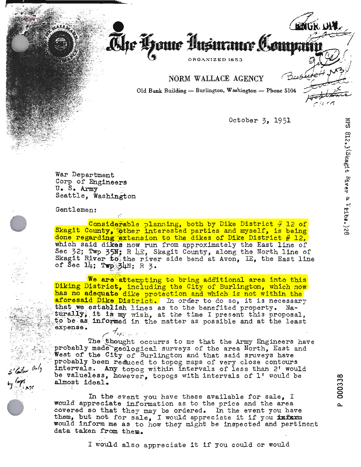Che Home Insurance Comp **ORGANIZED 1853**

**NORM WALLACE AGENCY**

**Old Bank Building — Burlington, Washington — Phone 5104**

October 3, 1951

War Department Corp or Engineers U. S, Army Seattle, Washington

Gentlemen:

Considerable planning, both by Dike District # 12 of Skagit County, other interested parties and myself, is being done regarding extension to the dikes of Dike District  $\#$  12, which said dikes now run from approximately the East line of Sec 32; Twp 35N; R  $k =$ , Skagit County, along the North line of Skagit River to the river side bend at Avon, IE, the East line of Sec  $11$ ; Twp  $34$ N; R 3.

We are attempting to bring additional area into this Diking District, including the City of Burlington, which now has no adequate dike protection and which is not within the aforesaid Dike District. In order to do so, it is necessary<br>that we establish lines as to the benefited property. Naturally, it is my wish, at the time I present this proposal, to be as informed in the matter as possible and at the least expense. > - *'w/' ••*

The thought occurrs to me that the Army Engineers have probably made geological surveys of the area North, East and West of the City of Burlington and that said sruveys have probably been reduced to topog maps of very close contours probably been remiced to topog maps of very close contours<br>intervals. Any topog within intervals of less than 2' would be valueless, however, topogs with intervals of 1' would be almost ideal.

In the event you have these available for sale, I would appreciate information as to the price and the area would appreciate information as to the price and the area<br>covered so that they may be ordered. In the event you have covered so that they may be ordered. In the event you have<br>them, but not for sale, I would appreciate it if you inform would inform me as to how they might be inspected and pertinent data taken from them.

I would also appreciate it if you could or would

**00 CO CO** o o o